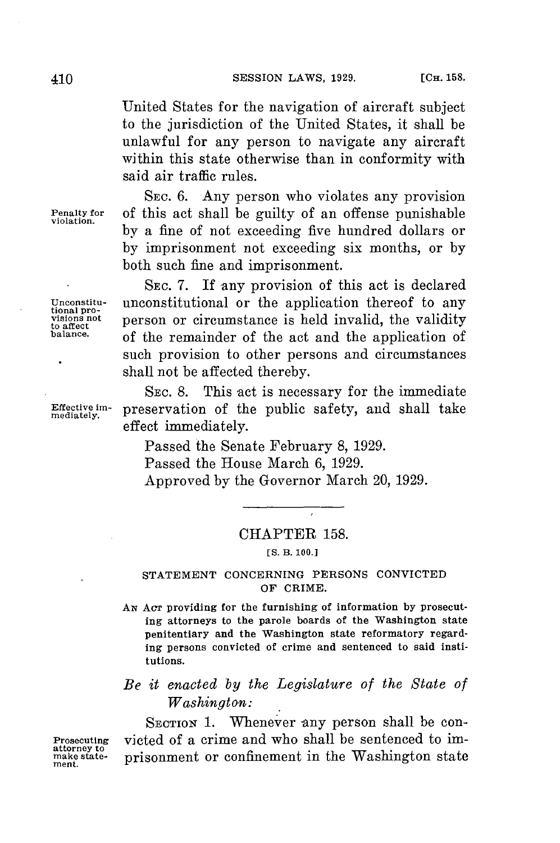United States for the navigation of aircraft subject to the jurisdiction of the United States, it shall be unlawful for any person to navigate any aircraft within this state otherwise than in conformity with said air traffic rules.

SEC. **6.** Any person who violates any provision **Penalty for** of this act shall be guilty of an offense punishable **violation. by** a fine of not exceeding five hundred dollars or **by** imprisonment not exceeding six months, or **by** both such fine and imprisonment.

**SEC. 7.** If any provision of this act is declared Unconstitutional or the application thereof to any visions not person or circumstance is held invalid, the validity balance. of the remainder of the act and the application of such provision to other persons and circumstances shall not be affected thereby.

SEC. 8. This act is necessary for the immediate Effective im- preservation of the public safety, and shall take effect immediately.

> Passed the Senate February **8, 1929.** Passed the House March **6, 1929.** Approved **by** the Governor March 20, **1929.**

## CHAPTER **158.**

**ES. B. 100.]**

## **STATEMENT** CONCERNING **PERSONS** CONVICTED OF CRIME.

*AN* **Acr** providing for the furnishing of information **by** prosecuting attorneys to the parole boards of the Washington state penitentiary and the Washington state reformatory regarding persons convicted of crime and sentenced to said institutions.

## *Be it enacted by the Legislature of the State of Washington:*

SECTION 1. Whenever any person shall be con-**Prosecuting** victed of a crime and who shall be sentenced to im-<br>
make state-<br>
prisonment or confinement in the Washington state make state- prisonment or confinement in the Washington state

Unconstitu-<br>tional pro-